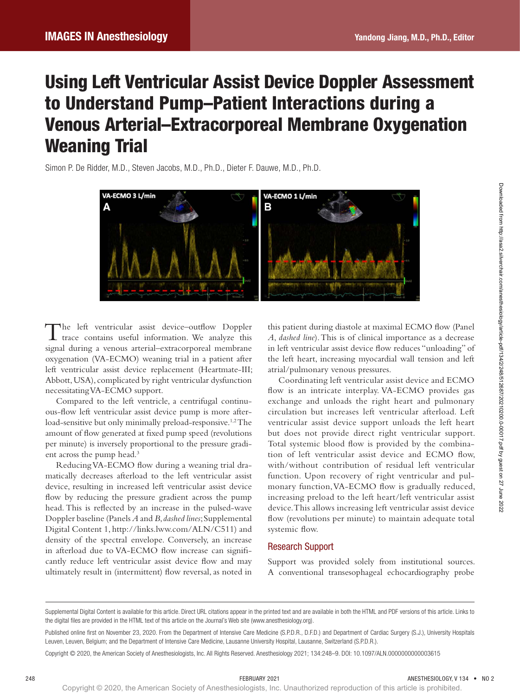# Using Left Ventricular Assist Device Doppler Assessment to Understand Pump–Patient Interactions during a Venous Arterial–Extracorporeal Membrane Oxygenation Weaning Trial

Simon P. De Ridder, M.D., Steven Jacobs, M.D., Ph.D., Dieter F. Dauwe, M.D., Ph.D.



The left ventricular assist device–outflow Doppler trace contains useful information. We analyze this signal during a venous arterial–extracorporeal membrane oxygenation (VA-ECMO) weaning trial in a patient after left ventricular assist device replacement (Heartmate-III; Abbott, USA), complicated by right ventricular dysfunction necessitating VA-ECMO support.

Compared to the left ventricle, a centrifugal continuous-flow left ventricular assist device pump is more afterload-sensitive but only minimally preload-responsive.<sup>1,2</sup> The amount of flow generated at fixed pump speed (revolutions per minute) is inversely proportional to the pressure gradient across the pump head.3

Reducing VA-ECMO flow during a weaning trial dramatically decreases afterload to the left ventricular assist device, resulting in increased left ventricular assist device flow by reducing the pressure gradient across the pump head. This is reflected by an increase in the pulsed-wave Doppler baseline (Panels *A* and *B*, *dashed lines*; Supplemental Digital Content 1, [http://links.lww.com/ALN/C511\)](http://links.lww.com/ALN/C511) and density of the spectral envelope. Conversely, an increase in afterload due to VA-ECMO flow increase can significantly reduce left ventricular assist device flow and may ultimately result in (intermittent) flow reversal, as noted in

this patient during diastole at maximal ECMO flow (Panel *A*, *dashed line*). This is of clinical importance as a decrease in left ventricular assist device flow reduces "unloading" of the left heart, increasing myocardial wall tension and left atrial/pulmonary venous pressures.

Coordinating left ventricular assist device and ECMO flow is an intricate interplay. VA-ECMO provides gas exchange and unloads the right heart and pulmonary circulation but increases left ventricular afterload. Left ventricular assist device support unloads the left heart but does not provide direct right ventricular support. Total systemic blood flow is provided by the combination of left ventricular assist device and ECMO flow, with/without contribution of residual left ventricular function. Upon recovery of right ventricular and pulmonary function, VA-ECMO flow is gradually reduced, increasing preload to the left heart/left ventricular assist device. This allows increasing left ventricular assist device flow (revolutions per minute) to maintain adequate total systemic flow.

#### Research Support

Support was provided solely from institutional sources. A conventional transesophageal echocardiography probe

Supplemental Digital Content is available for this article. Direct URL citations appear in the printed text and are available in both the HTML and PDF versions of this article. Links to the digital files are provided in the HTML text of this article on the Journal's Web site [\(www.anesthesiology.org\)](www.anesthesiology.org).

Published online first on November 23, 2020. From the Department of Intensive Care Medicine (S.P.D.R., D.F.D.) and Department of Cardiac Surgery (S.J.), University Hospitals Leuven, Leuven, Belgium; and the Department of Intensive Care Medicine, Lausanne University Hospital, Lausanne, Switzerland (S.P.D.R.).

Copyright © 2020, the American Society of Anesthesiologists, Inc. All Rights Reserved. Anesthesiology 2021; 134:248–9. DOI: 10.1097/ALN.0000000000003615